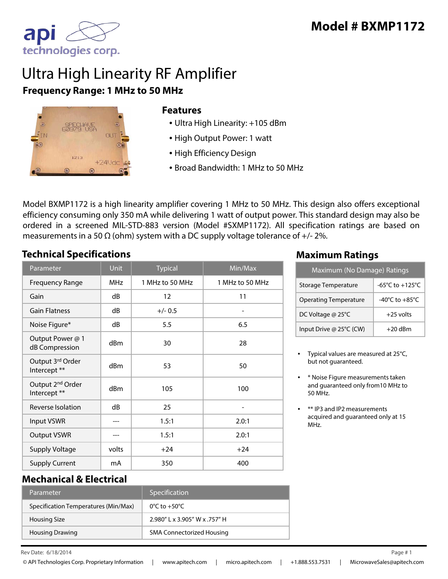

# Ultra High Linearity RF Amplifier **Frequency Range: 1 MHz to 50 MHz**



#### **Features**

- Ultra High Linearity: +105 dBm
- High Output Power: 1 watt
- High Efficiency Design
- Broad Bandwidth: 1 MHz to 50 MHz

Model BXMP1172 is a high linearity amplifier covering 1 MHz to 50 MHz. This design also offers exceptional efficiency consuming only 350 mA while delivering 1 watt of output power. This standard design may also be ordered in a screened MIL-STD-883 version (Model #SXMP1172). All specification ratings are based on measurements in a 50  $\Omega$  (ohm) system with a DC supply voltage tolerance of +/- 2%.

## **Technical Specifications Maximum Ratings**

| Parameter                                    | <b>Unit</b> | <b>Typical</b>  | Min/Max         |
|----------------------------------------------|-------------|-----------------|-----------------|
| <b>Frequency Range</b>                       | <b>MHz</b>  | 1 MHz to 50 MHz | 1 MHz to 50 MHz |
| Gain                                         | dB          | 12              | 11              |
| <b>Gain Flatness</b>                         | dB          | $+/- 0.5$       |                 |
| Noise Figure*                                | dB          | 5.5             | 6.5             |
| Output Power @ 1<br>dB Compression           | dBm         | 30              | 28              |
| Output 3rd Order<br>Intercept **             | dBm         | 53              | 50              |
| Output 2 <sup>nd</sup> Order<br>Intercept ** | dBm         | 105             | 100             |
| Reverse Isolation                            | dB          | 25              | -               |
| Input VSWR                                   |             | 1.5:1           | 2.0:1           |
| <b>Output VSWR</b>                           |             | 1.5:1           | 2.0:1           |
| <b>Supply Voltage</b>                        | volts       | $+24$           | $+24$           |
| <b>Supply Current</b>                        | mA          | 350             | 400             |

| Maximum (No Damage) Ratings  |                                    |  |
|------------------------------|------------------------------------|--|
| <b>Storage Temperature</b>   | -65°C to +125°C                    |  |
| <b>Operating Temperature</b> | $-40^{\circ}$ C to $+85^{\circ}$ C |  |
| DC Voltage @ 25°C            | $+25$ volts                        |  |
| Input Drive @ 25°C (CW)      | $+20$ dBm                          |  |

- Typical values are measured at 25°C, but not guaranteed.
- \* Noise Figure measurements taken and guaranteed only from10 MHz to 50 MHz.
- \*\* IP3 and IP2 measurements acquired and guaranteed only at 15 MHz.

#### **Mechanical & Electrical**

| Parameter                            | Specification                    |
|--------------------------------------|----------------------------------|
| Specification Temperatures (Min/Max) | $0^{\circ}$ C to $+50^{\circ}$ C |
| <b>Housing Size</b>                  | 2.980"   x 3.905" W x 757" H     |
| <b>Housing Drawing</b>               | <b>SMA Connectorized Housing</b> |

 $\mathsf{Re} \mathsf{V}$  Date: 6/18/2014 Page # 1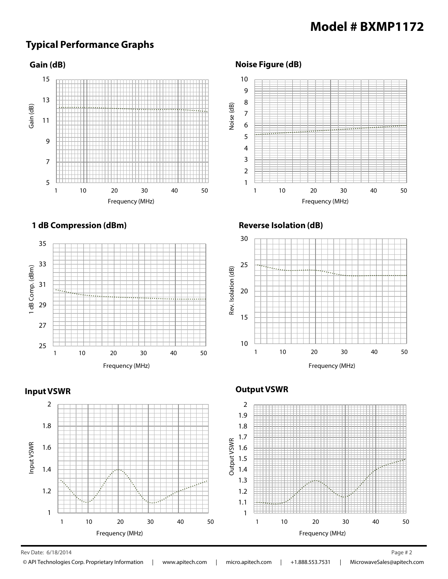## **Model # BXMP1172**

## **Typical Performance Graphs**





**Noise Figure (dB)**





#### **Reverse Isolation (dB)**